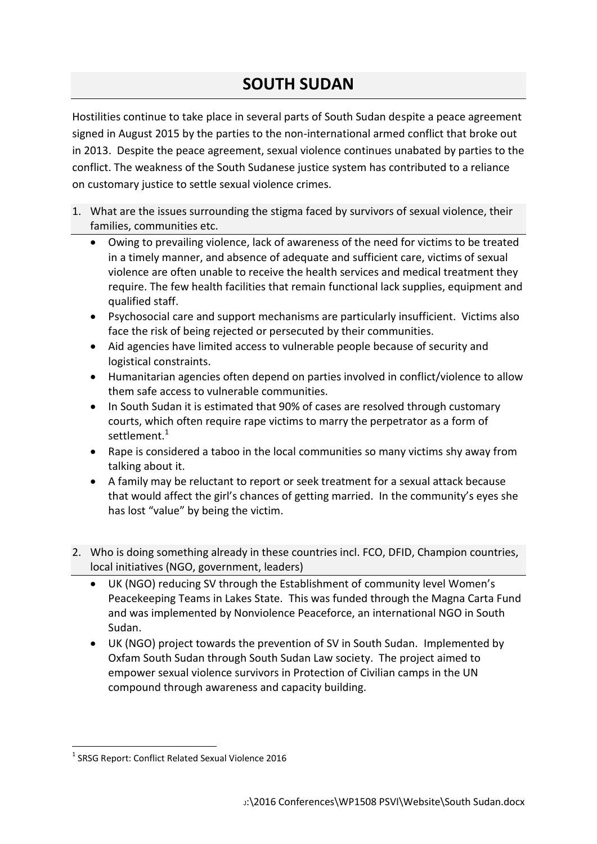## **SOUTH SUDAN**

Hostilities continue to take place in several parts of South Sudan despite a peace agreement signed in August 2015 by the parties to the non-international armed conflict that broke out in 2013. Despite the peace agreement, sexual violence continues unabated by parties to the conflict. The weakness of the South Sudanese justice system has contributed to a reliance on customary justice to settle sexual violence crimes.

- 1. What are the issues surrounding the stigma faced by survivors of sexual violence, their families, communities etc.
	- Owing to prevailing violence, lack of awareness of the need for victims to be treated in a timely manner, and absence of adequate and sufficient care, victims of sexual violence are often unable to receive the health services and medical treatment they require. The few health facilities that remain functional lack supplies, equipment and qualified staff.
	- Psychosocial care and support mechanisms are particularly insufficient. Victims also face the risk of being rejected or persecuted by their communities.
	- Aid agencies have limited access to vulnerable people because of security and logistical constraints.
	- Humanitarian agencies often depend on parties involved in conflict/violence to allow them safe access to vulnerable communities.
	- In South Sudan it is estimated that 90% of cases are resolved through customary courts, which often require rape victims to marry the perpetrator as a form of settlement.<sup>1</sup>
	- Rape is considered a taboo in the local communities so many victims shy away from talking about it.
	- A family may be reluctant to report or seek treatment for a sexual attack because that would affect the girl's chances of getting married. In the community's eyes she has lost "value" by being the victim.
- 2. Who is doing something already in these countries incl. FCO, DFID, Champion countries, local initiatives (NGO, government, leaders)
	- UK (NGO) reducing SV through the Establishment of community level Women's Peacekeeping Teams in Lakes State. This was funded through the Magna Carta Fund and was implemented by Nonviolence Peaceforce, an international NGO in South Sudan.
	- UK (NGO) project towards the prevention of SV in South Sudan. Implemented by Oxfam South Sudan through South Sudan Law society. The project aimed to empower sexual violence survivors in Protection of Civilian camps in the UN compound through awareness and capacity building.

<sup>1</sup> <sup>1</sup> SRSG Report: Conflict Related Sexual Violence 2016